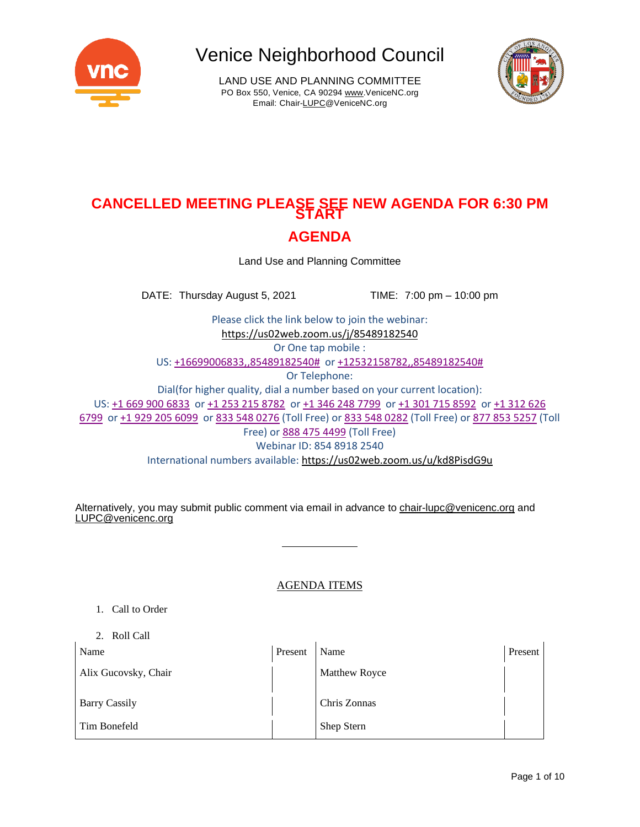

LAND USE AND PLANNING COMMITTEE PO Box 550, Venice, CA 90294 [www.VeniceNC.org](http://www.venicenc.org/) Email: Chai[r-LUPC@VeniceNC.org](mailto:LUPC@VeniceNC.org)



# **CANCELLED MEETING PLEASE SEE NEW AGENDA FOR 6:30 PM START AGENDA**

Land Use and Planning Committee

DATE: Thursday August 5, 2021 TIME: 7:00 pm – 10:00 pm

Please click the link below to join the webinar: <https://us02web.zoom.us/j/85489182540> Or One tap mobile : US: +16699006833,,85489182540# or +12532158782,,85489182540# Or Telephone: Dial(for higher quality, dial a number based on your current location): US: +1 669 900 6833 or +1 253 215 8782 or +1 346 248 7799 or +1 301 715 8592 or +1 312 626 6799 or +1 929 205 6099 or 833 548 0276 (Toll Free) or 833 548 0282 (Toll Free) or 877 853 5257 (Toll Free) or 888 475 4499 (Toll Free) Webinar ID: 854 8918 2540 International numbers available: <https://us02web.zoom.us/u/kd8PisdG9u>

Alternatively, you may submit public comment via email in advance to [chair-lupc@venicenc.org](mailto:chair-lupc@venicenc.org) and [LUPC@venicenc.org](mailto:LUPC@venicenc.org)

## AGENDA ITEMS

- 1. Call to Order
- 2. Roll Call

| Name                 | Present | Name                 | Present |
|----------------------|---------|----------------------|---------|
| Alix Gucovsky, Chair |         | <b>Matthew Royce</b> |         |
| <b>Barry Cassily</b> |         | Chris Zonnas         |         |
| Tim Bonefeld         |         | Shep Stern           |         |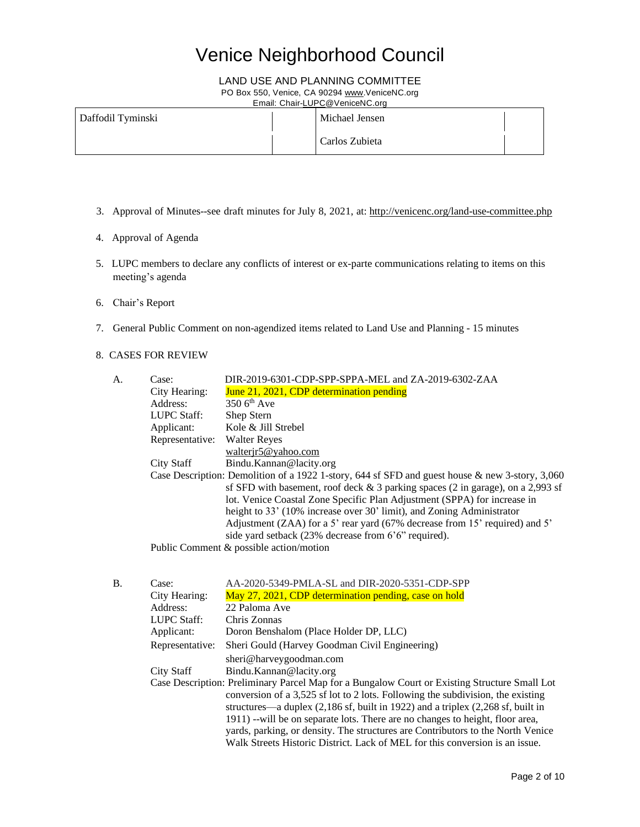## LAND USE AND PLANNING COMMITTEE

PO Box 550, Venice, CA 90294 [www.VeniceNC.org](http://www.venicenc.org/)

Email: Chai[r-LUPC@VeniceNC.org](mailto:LUPC@VeniceNC.org)

| Daffodil Tyminski | Michael Jensen |  |
|-------------------|----------------|--|
|                   | Carlos Zubieta |  |

- 3. Approval of Minutes--see draft minutes for July 8, 2021, at: <http://venicenc.org/land-use-committee.php>
- 4. Approval of Agenda
- 5. LUPC members to declare any conflicts of interest or ex-parte communications relating to items on this meeting's agenda
- 6. Chair's Report
- 7. General Public Comment on non-agendized items related to Land Use and Planning 15 minutes
- 8. CASES FOR REVIEW

| A. | Case:              | DIR-2019-6301-CDP-SPP-SPPA-MEL and ZA-2019-6302-ZAA                                             |
|----|--------------------|-------------------------------------------------------------------------------------------------|
|    | City Hearing:      | June 21, 2021, CDP determination pending                                                        |
|    | Address:           | $350$ 6 <sup>th</sup> Ave                                                                       |
|    | <b>LUPC Staff:</b> | Shep Stern                                                                                      |
|    | Applicant:         | Kole & Jill Strebel                                                                             |
|    | Representative:    | <b>Walter Reyes</b>                                                                             |
|    |                    | walterir5@yahoo.com                                                                             |
|    | City Staff         | Bindu.Kannan@lacity.org                                                                         |
|    |                    | Case Description: Demolition of a 1922 1-story, 644 sf SFD and guest house & new 3-story, 3,060 |
|    |                    | sf SFD with basement, roof deck $& 3$ parking spaces (2 in garage), on a 2,993 sf               |
|    |                    | lot. Venice Coastal Zone Specific Plan Adjustment (SPPA) for increase in                        |
|    |                    | height to 33' (10% increase over 30' limit), and Zoning Administrator                           |
|    |                    | Adjustment (ZAA) for a 5' rear yard (67% decrease from 15' required) and 5'                     |
|    |                    | side yard setback (23% decrease from 6'6" required).                                            |
|    |                    | Public Comment & possible action/motion                                                         |
|    |                    |                                                                                                 |

| В. | Case:              | AA-2020-5349-PMLA-SL and DIR-2020-5351-CDP-SPP                                                                                                                                                                                                                                                                |
|----|--------------------|---------------------------------------------------------------------------------------------------------------------------------------------------------------------------------------------------------------------------------------------------------------------------------------------------------------|
|    | City Hearing:      | May 27, 2021, CDP determination pending, case on hold                                                                                                                                                                                                                                                         |
|    | Address:           | 22 Paloma Ave                                                                                                                                                                                                                                                                                                 |
|    | <b>LUPC</b> Staff: | Chris Zonnas                                                                                                                                                                                                                                                                                                  |
|    | Applicant:         | Doron Benshalom (Place Holder DP, LLC)                                                                                                                                                                                                                                                                        |
|    | Representative:    | Sheri Gould (Harvey Goodman Civil Engineering)                                                                                                                                                                                                                                                                |
|    |                    | sheri@harveygoodman.com                                                                                                                                                                                                                                                                                       |
|    | City Staff         | Bindu.Kannan@lacity.org                                                                                                                                                                                                                                                                                       |
|    |                    | Case Description: Preliminary Parcel Map for a Bungalow Court or Existing Structure Small Lot<br>conversion of a 3,525 sf lot to 2 lots. Following the subdivision, the existing<br>structures—a duplex $(2,186 \text{ sf}, \text{built in } 1922)$ and a triplex $(2,268 \text{ sf}, \text{built in } 1922)$ |
|    |                    | 1911) --will be on separate lots. There are no changes to height, floor area,<br>yards, parking, or density. The structures are Contributors to the North Venice<br>Walk Streets Historic District. Lack of MEL for this conversion is an issue.                                                              |
|    |                    |                                                                                                                                                                                                                                                                                                               |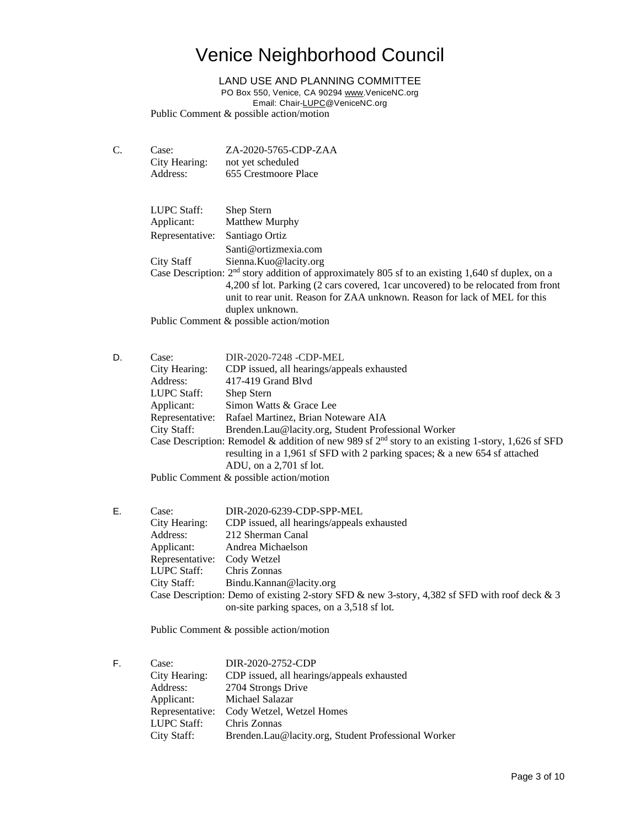LAND USE AND PLANNING COMMITTEE

PO Box 550, Venice, CA 90294 [www.VeniceNC.org](http://www.venicenc.org/)

Email: Chai[r-LUPC@VeniceNC.org](mailto:LUPC@VeniceNC.org)

Public Comment & possible action/motion

C. Case: ZA-2020-5765-CDP-ZAA City Hearing: not yet scheduled Address: 655 Crestmoore Place

| LUPC Staff:     | Shep Stern                                                                                          |
|-----------------|-----------------------------------------------------------------------------------------------------|
| Applicant:      | Matthew Murphy                                                                                      |
| Representative: | Santiago Ortiz                                                                                      |
|                 | Santi@ortizmexia.com                                                                                |
| City Staff      | Sienna.Kuo@lacity.org                                                                               |
|                 | Case Description: $2nd$ story addition of approximately 805 sf to an existing 1,640 sf duplex, on a |
|                 | 4,200 sf lot. Parking (2 cars covered, 1 car uncovered) to be relocated from front                  |
|                 | unit to rear unit. Reason for ZAA unknown. Reason for lack of MEL for this                          |
|                 | duplex unknown.                                                                                     |
|                 | Public Comment & possible action/motion                                                             |

D. Case: DIR-2020-7248 -CDP-MEL City Hearing: CDP issued, all hearings/appeals exhausted Address: 417-419 Grand Blvd LUPC Staff: Shep Stern Applicant: Simon Watts & Grace Lee Representative: Rafael Martinez, Brian Noteware AIA City Staff: Brenden.Lau@lacity.org, Student Professional Worker Case Description: Remodel & addition of new 989 sf  $2<sup>nd</sup>$  story to an existing 1-story, 1,626 sf SFD resulting in a 1,961 sf SFD with 2 parking spaces; & a new 654 sf attached ADU, on a 2,701 sf lot. Public Comment & possible action/motion

E. Case: DIR-2020-6239-CDP-SPP-MEL City Hearing: CDP issued, all hearings/appeals exhausted Address: 212 Sherman Canal Applicant: Andrea Michaelson Representative: Cody Wetzel LUPC Staff: Chris Zonnas City Staff: Bindu.Kannan@lacity.org Case Description: Demo of existing 2-story SFD & new 3-story, 4,382 sf SFD with roof deck & 3 on-site parking spaces, on a 3,518 sf lot.

Public Comment & possible action/motion

| F. | Case:              | DIR-2020-2752-CDP                                   |
|----|--------------------|-----------------------------------------------------|
|    | City Hearing:      | CDP issued, all hearings/appeals exhausted          |
|    | Address:           | 2704 Strongs Drive                                  |
|    | Applicant:         | Michael Salazar                                     |
|    | Representative:    | Cody Wetzel, Wetzel Homes                           |
|    | <b>LUPC Staff:</b> | Chris Zonnas                                        |
|    | City Staff:        | Brenden.Lau@lacity.org, Student Professional Worker |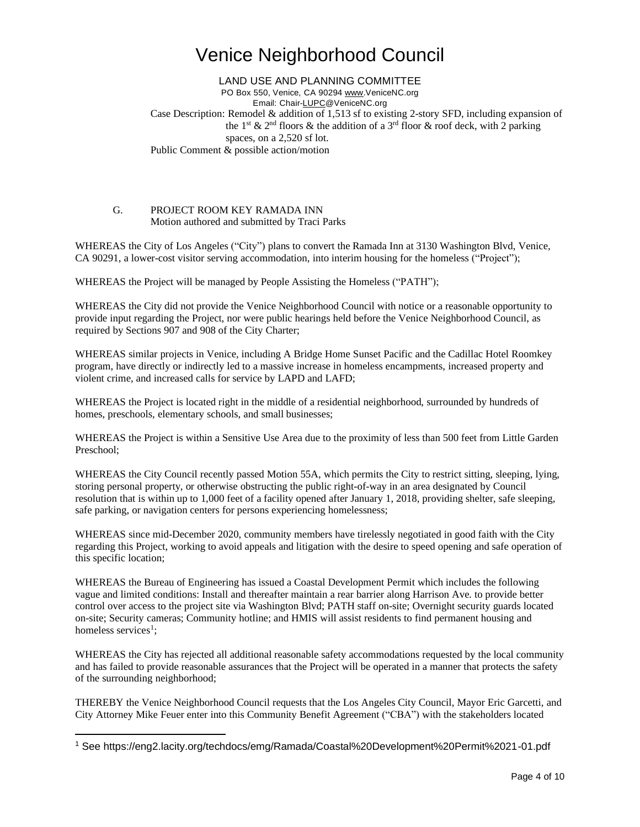LAND USE AND PLANNING COMMITTEE PO Box 550, Venice, CA 90294 [www.VeniceNC.org](http://www.venicenc.org/) Email: Chai[r-LUPC@VeniceNC.org](mailto:LUPC@VeniceNC.org) Case Description: Remodel & addition of 1,513 sf to existing 2-story SFD, including expansion of the 1<sup>st</sup> & 2<sup>nd</sup> floors & the addition of a 3<sup>rd</sup> floor & roof deck, with 2 parking spaces, on a 2,520 sf lot. Public Comment & possible action/motion

### G. PROJECT ROOM KEY RAMADA INN Motion authored and submitted by Traci Parks

WHEREAS the City of Los Angeles ("City") plans to convert the Ramada Inn at 3130 Washington Blvd, Venice, CA 90291, a lower-cost visitor serving accommodation, into interim housing for the homeless ("Project");

WHEREAS the Project will be managed by People Assisting the Homeless ("PATH");

WHEREAS the City did not provide the Venice Neighborhood Council with notice or a reasonable opportunity to provide input regarding the Project, nor were public hearings held before the Venice Neighborhood Council, as required by Sections 907 and 908 of the City Charter;

WHEREAS similar projects in Venice, including A Bridge Home Sunset Pacific and the Cadillac Hotel Roomkey program, have directly or indirectly led to a massive increase in homeless encampments, increased property and violent crime, and increased calls for service by LAPD and LAFD;

WHEREAS the Project is located right in the middle of a residential neighborhood, surrounded by hundreds of homes, preschools, elementary schools, and small businesses;

WHEREAS the Project is within a Sensitive Use Area due to the proximity of less than 500 feet from Little Garden Preschool;

WHEREAS the City Council recently passed Motion 55A, which permits the City to restrict sitting, sleeping, lying, storing personal property, or otherwise obstructing the public right-of-way in an area designated by Council resolution that is within up to 1,000 feet of a facility opened after January 1, 2018, providing shelter, safe sleeping, safe parking, or navigation centers for persons experiencing homelessness;

WHEREAS since mid-December 2020, community members have tirelessly negotiated in good faith with the City regarding this Project, working to avoid appeals and litigation with the desire to speed opening and safe operation of this specific location;

WHEREAS the Bureau of Engineering has issued a Coastal Development Permit which includes the following vague and limited conditions: Install and thereafter maintain a rear barrier along Harrison Ave. to provide better control over access to the project site via Washington Blvd; PATH staff on-site; Overnight security guards located on-site; Security cameras; Community hotline; and HMIS will assist residents to find permanent housing and homeless services<sup>1</sup>;

WHEREAS the City has rejected all additional reasonable safety accommodations requested by the local community and has failed to provide reasonable assurances that the Project will be operated in a manner that protects the safety of the surrounding neighborhood;

THEREBY the Venice Neighborhood Council requests that the Los Angeles City Council, Mayor Eric Garcetti, and City Attorney Mike Feuer enter into this Community Benefit Agreement ("CBA") with the stakeholders located

<sup>1</sup> See https://eng2.lacity.org/techdocs/emg/Ramada/Coastal%20Development%20Permit%2021-01.pdf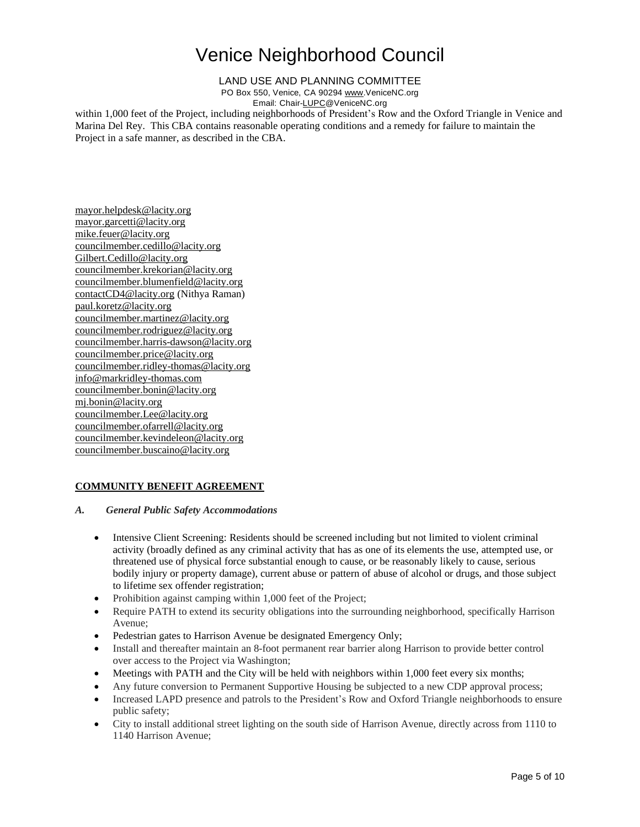### LAND USE AND PLANNING COMMITTEE

PO Box 550, Venice, CA 90294 [www.VeniceNC.org](http://www.venicenc.org/)

Email: Chai[r-LUPC@VeniceNC.org](mailto:LUPC@VeniceNC.org)

within 1,000 feet of the Project, including neighborhoods of President's Row and the Oxford Triangle in Venice and Marina Del Rey. This CBA contains reasonable operating conditions and a remedy for failure to maintain the Project in a safe manner, as described in the CBA.

[mayor.helpdesk@lacity.org](mailto:mayor.helpdesk@lacity.org) [mayor.garcetti@lacity.org](mailto:mayor.garcetti@lacity.org) [mike.feuer@lacity.org](mailto:mike.feuer@lacity.org) [councilmember.cedillo@lacity.org](mailto:councilmember.cedillo@lacity.org) [Gilbert.Cedillo@lacity.org](mailto:Gilbert.Cedillo@lacity.org) [councilmember.krekorian@lacity.org](mailto:councilmember.krekorian@lacity.org) [councilmember.blumenfield@lacity.org](mailto:councilmember.blumenfield@lacity.org) [contactCD4@lacity.org](mailto:contactCD4@lacity.org) (Nithya Raman) [paul.koretz@lacity.org](mailto:paul.koretz@lacity.org) [councilmember.martinez@lacity.org](mailto:councilmember.martinez@lacity.org) [councilmember.rodriguez@lacity.org](mailto:councilmember.rodriguez@lacity.org) [councilmember.harris-dawson@lacity.org](mailto:councilmember.harris-dawson@lacity.org) [councilmember.price@lacity.org](mailto:councilmember.price@lacity.org) [councilmember.ridley-thomas@lacity.org](mailto:councilmember.ridley-thomas@lacity.org) [info@markridley-thomas.com](mailto:info@markridley-thomas.com) [councilmember.bonin@lacity.org](mailto:councilmember.bonin@lacity.org) [mj.bonin@lacity.org](mailto:mj.bonin@lacity.org) [councilmember.Lee@lacity.org](mailto:councilmember.Lee@lacity.org) [councilmember.ofarrell@lacity.org](mailto:councilmember.ofarrell@lacity.org) [councilmember.kevindeleon@lacity.org](mailto:councilmember.kevindeleon@lacity.org) [councilmember.buscaino@lacity.org](mailto:councilmember.buscaino@lacity.org)

## **COMMUNITY BENEFIT AGREEMENT**

### *A. General Public Safety Accommodations*

- Intensive Client Screening: Residents should be screened including but not limited to violent criminal activity (broadly defined as any criminal activity that has as one of its elements the use, attempted use, or threatened use of physical force substantial enough to cause, or be reasonably likely to cause, serious bodily injury or property damage), current abuse or pattern of abuse of alcohol or drugs, and those subject to lifetime sex offender registration;
- Prohibition against camping within 1,000 feet of the Project;
- Require PATH to extend its security obligations into the surrounding neighborhood, specifically Harrison Avenue;
- Pedestrian gates to Harrison Avenue be designated Emergency Only;
- Install and thereafter maintain an 8-foot permanent rear barrier along Harrison to provide better control over access to the Project via Washington;
- Meetings with PATH and the City will be held with neighbors within 1,000 feet every six months;
- Any future conversion to Permanent Supportive Housing be subjected to a new CDP approval process;
- Increased LAPD presence and patrols to the President's Row and Oxford Triangle neighborhoods to ensure public safety;
- City to install additional street lighting on the south side of Harrison Avenue, directly across from 1110 to 1140 Harrison Avenue;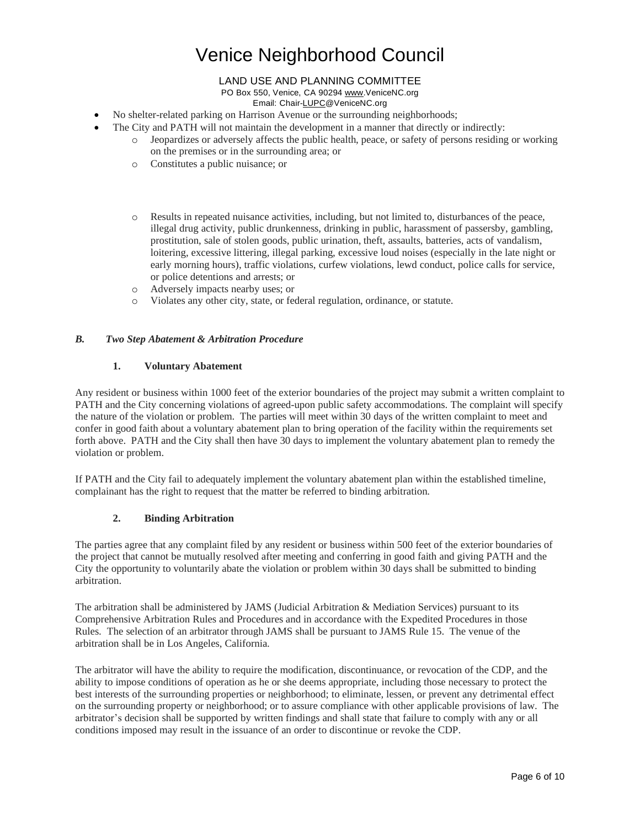## LAND USE AND PLANNING COMMITTEE

PO Box 550, Venice, CA 90294 [www.VeniceNC.org](http://www.venicenc.org/)

Email: Chai[r-LUPC@VeniceNC.org](mailto:LUPC@VeniceNC.org)

- No shelter-related parking on Harrison Avenue or the surrounding neighborhoods;
- The City and PATH will not maintain the development in a manner that directly or indirectly:
	- o Jeopardizes or adversely affects the public health, peace, or safety of persons residing or working on the premises or in the surrounding area; or
	- o Constitutes a public nuisance; or
	- o Results in repeated nuisance activities, including, but not limited to, disturbances of the peace, illegal drug activity, public drunkenness, drinking in public, harassment of passersby, gambling, prostitution, sale of stolen goods, public urination, theft, assaults, batteries, acts of vandalism, loitering, excessive littering, illegal parking, excessive loud noises (especially in the late night or early morning hours), traffic violations, curfew violations, lewd conduct, police calls for service, or police detentions and arrests; or
	- o Adversely impacts nearby uses; or
	- o Violates any other city, state, or federal regulation, ordinance, or statute.

### *B. Two Step Abatement & Arbitration Procedure*

#### **1. Voluntary Abatement**

Any resident or business within 1000 feet of the exterior boundaries of the project may submit a written complaint to PATH and the City concerning violations of agreed-upon public safety accommodations. The complaint will specify the nature of the violation or problem. The parties will meet within 30 days of the written complaint to meet and confer in good faith about a voluntary abatement plan to bring operation of the facility within the requirements set forth above. PATH and the City shall then have 30 days to implement the voluntary abatement plan to remedy the violation or problem.

If PATH and the City fail to adequately implement the voluntary abatement plan within the established timeline, complainant has the right to request that the matter be referred to binding arbitration.

### **2. Binding Arbitration**

The parties agree that any complaint filed by any resident or business within 500 feet of the exterior boundaries of the project that cannot be mutually resolved after meeting and conferring in good faith and giving PATH and the City the opportunity to voluntarily abate the violation or problem within 30 days shall be submitted to binding arbitration.

The arbitration shall be administered by JAMS (Judicial Arbitration  $\&$  Mediation Services) pursuant to its Comprehensive Arbitration Rules and Procedures and in accordance with the Expedited Procedures in those Rules. The selection of an arbitrator through JAMS shall be pursuant to JAMS Rule 15. The venue of the arbitration shall be in Los Angeles, California.

The arbitrator will have the ability to require the modification, discontinuance, or revocation of the CDP, and the ability to impose conditions of operation as he or she deems appropriate, including those necessary to protect the best interests of the surrounding properties or neighborhood; to eliminate, lessen, or prevent any detrimental effect on the surrounding property or neighborhood; or to assure compliance with other applicable provisions of law. The arbitrator's decision shall be supported by written findings and shall state that failure to comply with any or all conditions imposed may result in the issuance of an order to discontinue or revoke the CDP.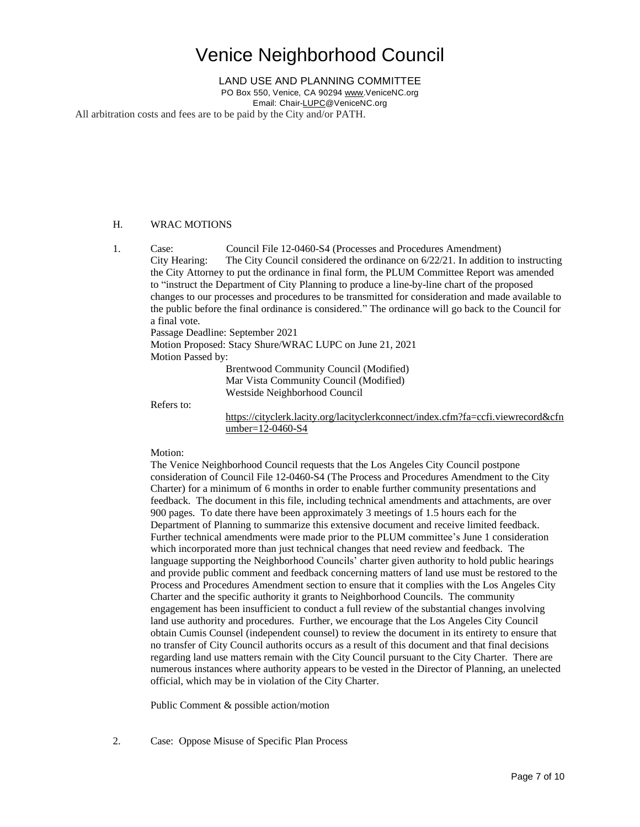LAND USE AND PLANNING COMMITTEE

PO Box 550, Venice, CA 90294 [www.VeniceNC.org](http://www.venicenc.org/) Email: Chai[r-LUPC@VeniceNC.org](mailto:LUPC@VeniceNC.org)

All arbitration costs and fees are to be paid by the City and/or PATH.

### H. WRAC MOTIONS

1. Case: Council File 12-0460-S4 (Processes and Procedures Amendment) City Hearing: The City Council considered the ordinance on 6/22/21. In addition to instructing the City Attorney to put the ordinance in final form, the PLUM Committee Report was amended to "instruct the Department of City Planning to produce a line-by-line chart of the proposed changes to our processes and procedures to be transmitted for consideration and made available to the public before the final ordinance is considered." The ordinance will go back to the Council for a final vote.

Passage Deadline: September 2021

Motion Proposed: Stacy Shure/WRAC LUPC on June 21, 2021 Motion Passed by:

Brentwood Community Council (Modified) Mar Vista Community Council (Modified) Westside Neighborhood Council

Refers to:

[https://cityclerk.lacity.org/lacityclerkconnect/index.cfm?fa=ccfi.viewrecord&cfn](https://cityclerk.lacity.org/lacityclerkconnect/index.cfm?fa=ccfi.viewrecord&cfnumber=12-0460-S4) [umber=12-0460-S4](https://cityclerk.lacity.org/lacityclerkconnect/index.cfm?fa=ccfi.viewrecord&cfnumber=12-0460-S4)

### Motion:

The Venice Neighborhood Council requests that the Los Angeles City Council postpone consideration of Council File 12-0460-S4 (The Process and Procedures Amendment to the City Charter) for a minimum of 6 months in order to enable further community presentations and feedback. The document in this file, including technical amendments and attachments, are over 900 pages. To date there have been approximately 3 meetings of 1.5 hours each for the Department of Planning to summarize this extensive document and receive limited feedback. Further technical amendments were made prior to the PLUM committee's June 1 consideration which incorporated more than just technical changes that need review and feedback. The language supporting the Neighborhood Councils' charter given authority to hold public hearings and provide public comment and feedback concerning matters of land use must be restored to the Process and Procedures Amendment section to ensure that it complies with the Los Angeles City Charter and the specific authority it grants to Neighborhood Councils. The community engagement has been insufficient to conduct a full review of the substantial changes involving land use authority and procedures. Further, we encourage that the Los Angeles City Council obtain Cumis Counsel (independent counsel) to review the document in its entirety to ensure that no transfer of City Council authorits occurs as a result of this document and that final decisions regarding land use matters remain with the City Council pursuant to the City Charter. There are numerous instances where authority appears to be vested in the Director of Planning, an unelected official, which may be in violation of the City Charter.

Public Comment & possible action/motion

2. Case: Oppose Misuse of Specific Plan Process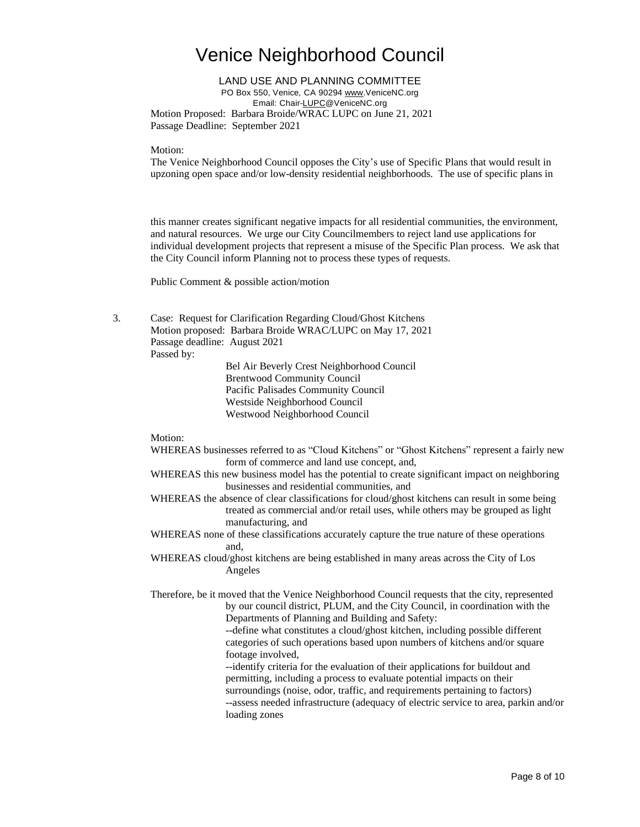LAND USE AND PLANNING COMMITTEE PO Box 550, Venice, CA 90294 [www.VeniceNC.org](http://www.venicenc.org/) Email: Chai[r-LUPC@VeniceNC.org](mailto:LUPC@VeniceNC.org) Motion Proposed: Barbara Broide/WRAC LUPC on June 21, 2021 Passage Deadline: September 2021

Motion:

The Venice Neighborhood Council opposes the City's use of Specific Plans that would result in upzoning open space and/or low-density residential neighborhoods. The use of specific plans in

this manner creates significant negative impacts for all residential communities, the environment, and natural resources. We urge our City Councilmembers to reject land use applications for individual development projects that represent a misuse of the Specific Plan process. We ask that the City Council inform Planning not to process these types of requests.

Public Comment & possible action/motion

3. Case: Request for Clarification Regarding Cloud/Ghost Kitchens Motion proposed: Barbara Broide WRAC/LUPC on May 17, 2021 Passage deadline: August 2021

Passed by:

Bel Air Beverly Crest Neighborhood Council Brentwood Community Council Pacific Palisades Community Council Westside Neighborhood Council Westwood Neighborhood Council

Motion:

- WHEREAS businesses referred to as "Cloud Kitchens" or "Ghost Kitchens" represent a fairly new form of commerce and land use concept, and,
- WHEREAS this new business model has the potential to create significant impact on neighboring businesses and residential communities, and
- WHEREAS the absence of clear classifications for cloud/ghost kitchens can result in some being treated as commercial and/or retail uses, while others may be grouped as light manufacturing, and
- WHEREAS none of these classifications accurately capture the true nature of these operations and,
- WHEREAS cloud/ghost kitchens are being established in many areas across the City of Los Angeles

Therefore, be it moved that the Venice Neighborhood Council requests that the city, represented by our council district, PLUM, and the City Council, in coordination with the Departments of Planning and Building and Safety:

--define what constitutes a cloud/ghost kitchen, including possible different categories of such operations based upon numbers of kitchens and/or square footage involved,

--identify criteria for the evaluation of their applications for buildout and permitting, including a process to evaluate potential impacts on their surroundings (noise, odor, traffic, and requirements pertaining to factors) --assess needed infrastructure (adequacy of electric service to area, parkin and/or loading zones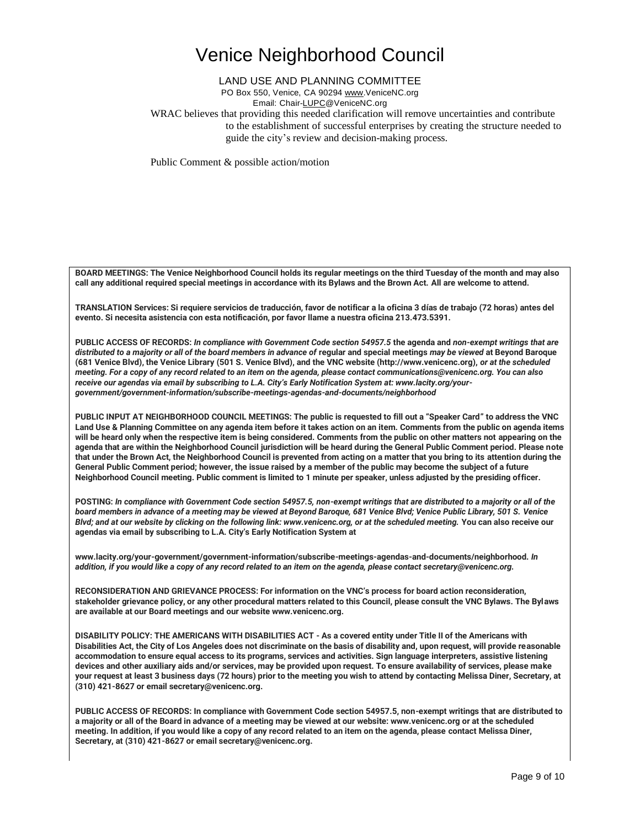### LAND USE AND PLANNING COMMITTEE

PO Box 550, Venice, CA 90294 [www.VeniceNC.org](http://www.venicenc.org/)

Email: Chai[r-LUPC@VeniceNC.org](mailto:LUPC@VeniceNC.org)

WRAC believes that providing this needed clarification will remove uncertainties and contribute to the establishment of successful enterprises by creating the structure needed to guide the city's review and decision-making process.

Public Comment & possible action/motion

**BOARD MEETINGS: The Venice Neighborhood Council holds its regular meetings on the third Tuesday of the month and may also call any additional required special meetings in accordance with its Bylaws and the Brown Act. All are welcome to attend.** 

**TRANSLATION Services: Si requiere servicios de traducción, favor de notificar a la oficina 3 días de trabajo (72 horas) antes del evento. Si necesita asistencia con esta notificación, por favor llame a nuestra oficina 213.473.5391.** 

**PUBLIC ACCESS OF RECORDS:** *In compliance with Government Code section 54957.5* **the agenda and** *non-exempt writings that are distributed to a majority or all of the board members in advance of* **regular and special meetings** *may be viewed* **at Beyond Baroque (681 Venice Blvd), the Venice Library (501 S. Venice Blvd), and the VNC website (http://www.venicenc.org),** *or at the scheduled meeting. For a copy of any record related to an item on the agenda, please contact communications@venicenc.org. You can also receive our agendas via email by subscribing to L.A. City's Early Notification System at: www.lacity.org/yourgovernment/government-information/subscribe-meetings-agendas-and-documents/neighborhood* 

**PUBLIC INPUT AT NEIGHBORHOOD COUNCIL MEETINGS: The public is requested to fill out a "Speaker Card" to address the VNC Land Use & Planning Committee on any agenda item before it takes action on an item. Comments from the public on agenda items will be heard only when the respective item is being considered. Comments from the public on other matters not appearing on the agenda that are within the Neighborhood Council jurisdiction will be heard during the General Public Comment period. Please note that under the Brown Act, the Neighborhood Council is prevented from acting on a matter that you bring to its attention during the General Public Comment period; however, the issue raised by a member of the public may become the subject of a future Neighborhood Council meeting. Public comment is limited to 1 minute per speaker, unless adjusted by the presiding officer.** 

**POSTING:** *In compliance with Government Code section 54957.5, non-exempt writings that are distributed to a majority or all of the board members in advance of a meeting may be viewed at Beyond Baroque, 681 Venice Blvd; Venice Public Library, 501 S. Venice Blvd; and at our website by clicking on the following link: www.venicenc.org, or at the scheduled meeting.* **You can also receive our agendas via email by subscribing to L.A. City's Early Notification System at** 

**www.lacity.org/your-government/government-information/subscribe-meetings-agendas-and-documents/neighborhood.** *In addition, if you would like a copy of any record related to an item on the agenda, please contact secretary@venicenc.org.* 

**RECONSIDERATION AND GRIEVANCE PROCESS: For information on the VNC's process for board action reconsideration, stakeholder grievance policy, or any other procedural matters related to this Council, please consult the VNC Bylaws. The Bylaws are available at our Board meetings and our website www.venicenc.org.** 

**DISABILITY POLICY: THE AMERICANS WITH DISABILITIES ACT - As a covered entity under Title II of the Americans with Disabilities Act, the City of Los Angeles does not discriminate on the basis of disability and, upon request, will provide reasonable accommodation to ensure equal access to its programs, services and activities. Sign language interpreters, assistive listening devices and other auxiliary aids and/or services, may be provided upon request. To ensure availability of services, please make your request at least 3 business days (72 hours) prior to the meeting you wish to attend by contacting Melissa Diner, Secretary, at (310) 421-8627 or email secretary@venicenc.org.** 

**PUBLIC ACCESS OF RECORDS: In compliance with Government Code section 54957.5, non-exempt writings that are distributed to a majority or all of the Board in advance of a meeting may be viewed at our website: www.venicenc.org or at the scheduled meeting. In addition, if you would like a copy of any record related to an item on the agenda, please contact Melissa Diner, Secretary, at (310) 421-8627 or email secretary@venicenc.org.**